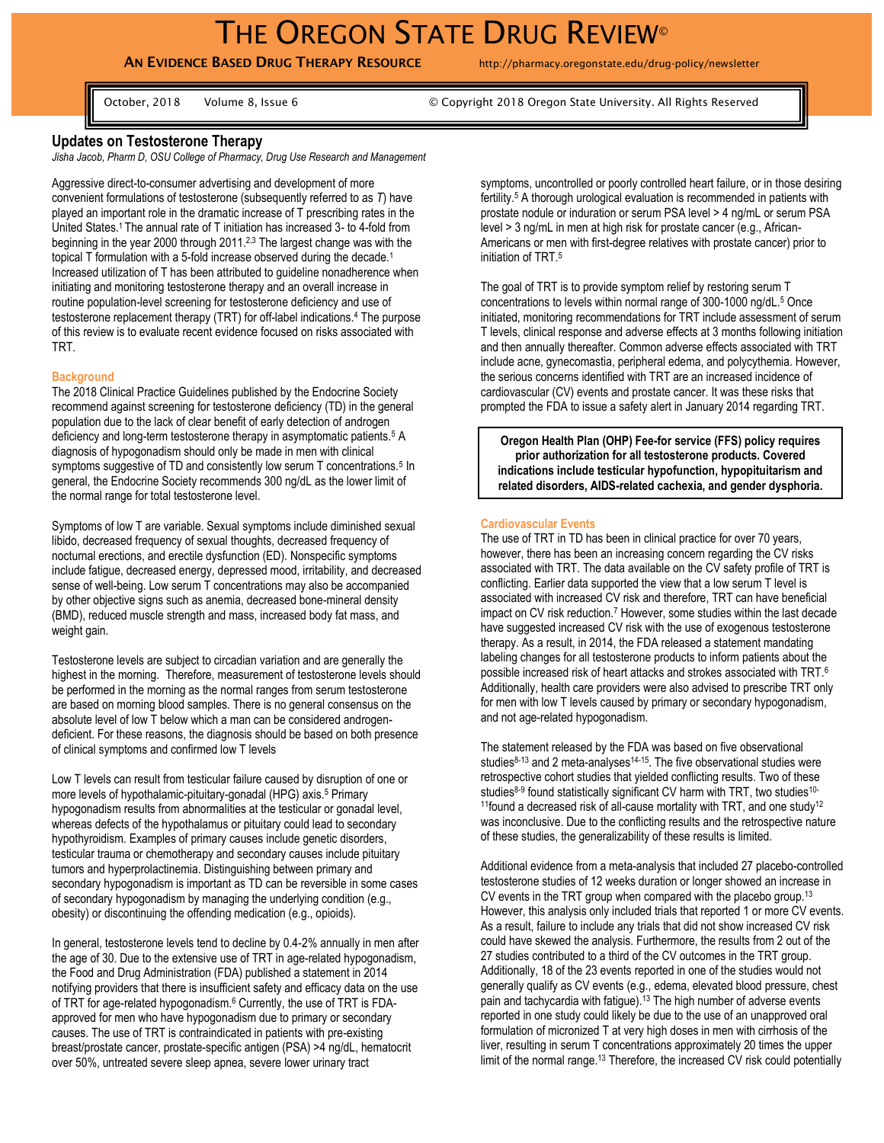# THE OREGON STATE DRUG REVIEW<sup>®</sup>

# **AN EVIDENCE BASED DRUG THERAPY RESOURCE** http://pharmacy.oregonstate.edu/drug-policy/newsletter

October, 2018 Volume 8, Issue 6 © Copyright 2018 Oregon State University. All Rights Reserved

# **Updates on Testosterone Therapy**

*Jisha Jacob, Pharm D, OSU College of Pharmacy, Drug Use Research and Management* 

Aggressive direct-to-consumer advertising and development of more convenient formulations of testosterone (subsequently referred to as *T*) have played an important role in the dramatic increase of T prescribing rates in the United States.<sup>1</sup> The annual rate of T initiation has increased 3- to 4-fold from beginning in the year 2000 through 2011.<sup>2,3</sup> The largest change was with the topical T formulation with a 5-fold increase observed during the decade.<sup>1</sup> Increased utilization of T has been attributed to guideline nonadherence when initiating and monitoring testosterone therapy and an overall increase in routine population-level screening for testosterone deficiency and use of testosterone replacement therapy (TRT) for off-label indications.<sup>4</sup> The purpose of this review is to evaluate recent evidence focused on risks associated with TRT.

#### **Background**

The 2018 Clinical Practice Guidelines published by the Endocrine Society recommend against screening for testosterone deficiency (TD) in the general population due to the lack of clear benefit of early detection of androgen deficiency and long-term testosterone therapy in asymptomatic patients.<sup>5</sup> A diagnosis of hypogonadism should only be made in men with clinical symptoms suggestive of TD and consistently low serum T concentrations.<sup>5</sup> In general, the Endocrine Society recommends 300 ng/dL as the lower limit of the normal range for total testosterone level.

Symptoms of low T are variable. Sexual symptoms include diminished sexual libido, decreased frequency of sexual thoughts, decreased frequency of nocturnal erections, and erectile dysfunction (ED). Nonspecific symptoms include fatigue, decreased energy, depressed mood, irritability, and decreased sense of well-being. Low serum T concentrations may also be accompanied by other objective signs such as anemia, decreased bone-mineral density (BMD), reduced muscle strength and mass, increased body fat mass, and weight gain.

Testosterone levels are subject to circadian variation and are generally the highest in the morning. Therefore, measurement of testosterone levels should be performed in the morning as the normal ranges from serum testosterone are based on morning blood samples. There is no general consensus on the absolute level of low T below which a man can be considered androgendeficient. For these reasons, the diagnosis should be based on both presence of clinical symptoms and confirmed low T levels

Low T levels can result from testicular failure caused by disruption of one or more levels of hypothalamic-pituitary-gonadal (HPG) axis.<sup>5</sup> Primary hypogonadism results from abnormalities at the testicular or gonadal level, whereas defects of the hypothalamus or pituitary could lead to secondary hypothyroidism. Examples of primary causes include genetic disorders, testicular trauma or chemotherapy and secondary causes include pituitary tumors and hyperprolactinemia. Distinguishing between primary and secondary hypogonadism is important as TD can be reversible in some cases of secondary hypogonadism by managing the underlying condition (e.g., obesity) or discontinuing the offending medication (e.g., opioids).

In general, testosterone levels tend to decline by 0.4-2% annually in men after the age of 30. Due to the extensive use of TRT in age-related hypogonadism, the Food and Drug Administration (FDA) published a statement in 2014 notifying providers that there is insufficient safety and efficacy data on the use of TRT for age-related hypogonadism. <sup>6</sup> Currently, the use of TRT is FDAapproved for men who have hypogonadism due to primary or secondary causes. The use of TRT is contraindicated in patients with pre-existing breast/prostate cancer, prostate-specific antigen (PSA) >4 ng/dL, hematocrit over 50%, untreated severe sleep apnea, severe lower urinary tract

symptoms, uncontrolled or poorly controlled heart failure, or in those desiring fertility.<sup>5</sup> A thorough urological evaluation is recommended in patients with prostate nodule or induration or serum PSA level > 4 ng/mL or serum PSA level > 3 ng/mL in men at high risk for prostate cancer (e.g., African-Americans or men with first-degree relatives with prostate cancer) prior to initiation of TRT.<sup>5</sup>

The goal of TRT is to provide symptom relief by restoring serum T concentrations to levels within normal range of 300-1000 ng/dL.<sup>5</sup> Once initiated, monitoring recommendations for TRT include assessment of serum T levels, clinical response and adverse effects at 3 months following initiation and then annually thereafter. Common adverse effects associated with TRT include acne, gynecomastia, peripheral edema, and polycythemia. However, the serious concerns identified with TRT are an increased incidence of cardiovascular (CV) events and prostate cancer. It was these risks that prompted the FDA to issue a safety alert in January 2014 regarding TRT.

**Oregon Health Plan (OHP) Fee-for service (FFS) policy requires prior authorization for all testosterone products. Covered indications include testicular hypofunction, hypopituitarism and related disorders, AIDS-related cachexia, and gender dysphoria.**

#### **Cardiovascular Events**

The use of TRT in TD has been in clinical practice for over 70 years, however, there has been an increasing concern regarding the CV risks associated with TRT. The data available on the CV safety profile of TRT is conflicting. Earlier data supported the view that a low serum T level is associated with increased CV risk and therefore, TRT can have beneficial impact on CV risk reduction.<sup>7</sup> However, some studies within the last decade have suggested increased CV risk with the use of exogenous testosterone therapy. As a result, in 2014, the FDA released a statement mandating labeling changes for all testosterone products to inform patients about the possible increased risk of heart attacks and strokes associated with TRT.<sup>6</sup> Additionally, health care providers were also advised to prescribe TRT only for men with low T levels caused by primary or secondary hypogonadism, and not age-related hypogonadism.

The statement released by the FDA was based on five observational studies $8-13$  and 2 meta-analyses $14-15$ . The five observational studies were retrospective cohort studies that yielded conflicting results. Two of these studies<sup>8-9</sup> found statistically significant CV harm with TRT, two studies<sup>10-</sup> <sup>11</sup>found a decreased risk of all-cause mortality with TRT, and one study<sup>12</sup> was inconclusive. Due to the conflicting results and the retrospective nature of these studies, the generalizability of these results is limited.

Additional evidence from a meta-analysis that included 27 placebo-controlled testosterone studies of 12 weeks duration or longer showed an increase in CV events in the TRT group when compared with the placebo group.<sup>13</sup> However, this analysis only included trials that reported 1 or more CV events. As a result, failure to include any trials that did not show increased CV risk could have skewed the analysis. Furthermore, the results from 2 out of the 27 studies contributed to a third of the CV outcomes in the TRT group. Additionally, 18 of the 23 events reported in one of the studies would not generally qualify as CV events (e.g., edema, elevated blood pressure, chest pain and tachycardia with fatigue).<sup>13</sup> The high number of adverse events reported in one study could likely be due to the use of an unapproved oral formulation of micronized T at very high doses in men with cirrhosis of the liver, resulting in serum T concentrations approximately 20 times the upper limit of the normal range.<sup>13</sup> Therefore, the increased CV risk could potentially